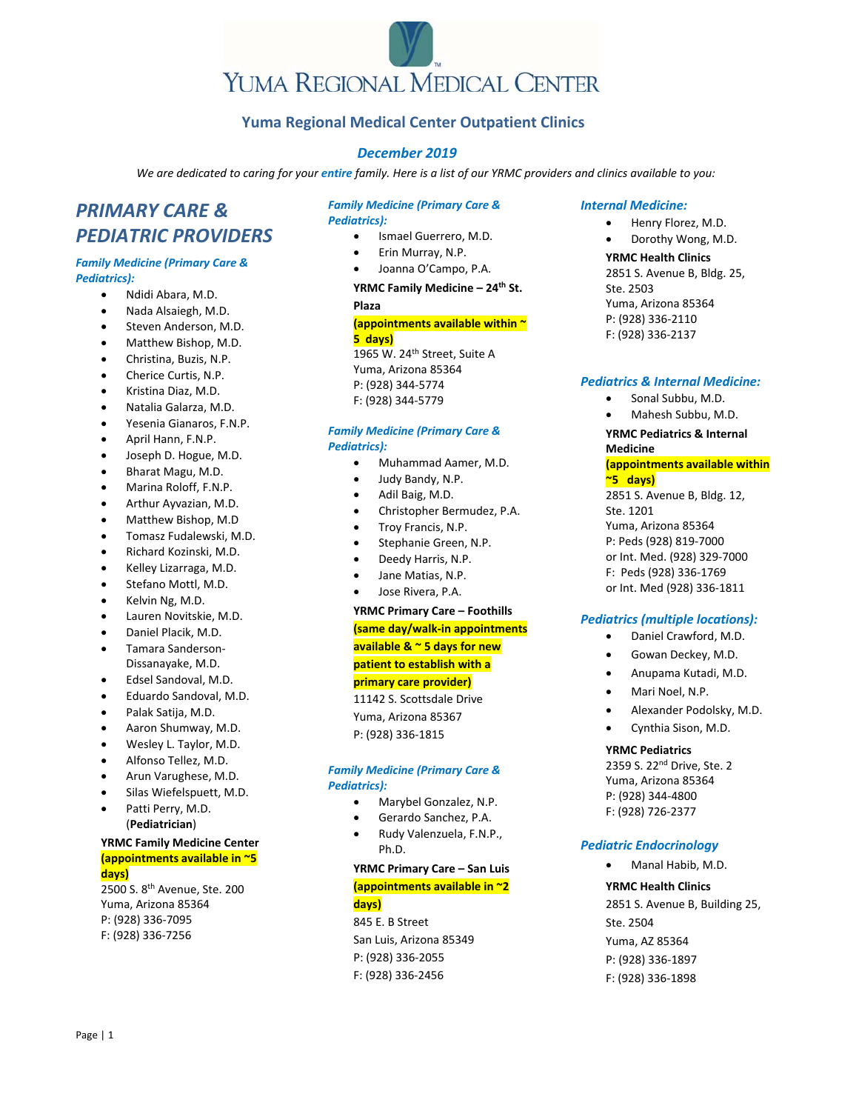# **Yuma Regional Medical Center Outpatient Clinics**

# *December 2019*

We are dedicated to caring for your entire family. Here is a list of our YRMC providers and clinics available to you:

# *PRIMARY CARE & PEDIATRIC PROVIDERS*

# *Family Medicine (Primary Care & Pediatrics):*

- Ndidi Abara, M.D.
- Nada Alsaiegh, M.D.
- Steven Anderson, M.D.
- Matthew Bishop, M.D.
- Christina, Buzis, N.P.
- Cherice Curtis, N.P.
- Kristina Diaz, M.D.
- Natalia Galarza, M.D.
- Yesenia Gianaros, F.N.P.
- April Hann, F.N.P.
- Joseph D. Hogue, M.D.
- Bharat Magu, M.D.
- Marina Roloff, F.N.P.
- Arthur Ayvazian, M.D.
- Matthew Bishop, M.D
- Tomasz Fudalewski, M.D.
- Richard Kozinski, M.D.
- Kelley Lizarraga, M.D.
- Stefano Mottl, M.D.
- Kelvin Ng, M.D.
- Lauren Novitskie, M.D.
- Daniel Placik, M.D.
- Tamara Sanderson‐ Dissanayake, M.D.
- Edsel Sandoval, M.D.
- Eduardo Sandoval, M.D.
- Palak Satija, M.D.
- Aaron Shumway, M.D.
- Wesley L. Taylor, M.D.
- Alfonso Tellez, M.D.
- Arun Varughese, M.D.
- Silas Wiefelspuett, M.D.
- Patti Perry, M.D. (**Pediatrician**)

# **YRMC Family Medicine Center (appointments available in ~5 days)**

2500 S. 8th Avenue, Ste. 200 Yuma, Arizona 85364 P: (928) 336‐7095 F: (928) 336‐7256

# *Family Medicine (Primary Care & Pediatrics):*

- Ismael Guerrero, M.D.
- Erin Murray, N.P.
- Joanna O'Campo, P.A.

**YRMC Family Medicine – 24th St. Plaza**

# **(appointments available within ~ 5 days)**

1965 W. 24<sup>th</sup> Street, Suite A Yuma, Arizona 85364 P: (928) 344‐5774 F: (928) 344‐5779

# *Family Medicine (Primary Care & Pediatrics):*

- Muhammad Aamer, M.D.
- Judy Bandy, N.P.
- Adil Baig, M.D.
- Christopher Bermudez, P.A.
- Troy Francis, N.P.
- Stephanie Green, N.P.
- Deedy Harris, N.P.
- Jane Matias, N.P.
- Jose Rivera, P.A.

# **YRMC Primary Care – Foothills (same day/walk‐in appointments available & ~ 5 days for new patient to establish with a primary care provider)**

11142 S. Scottsdale Drive Yuma, Arizona 85367 P: (928) 336‐1815

# *Family Medicine (Primary Care & Pediatrics):*

- Marybel Gonzalez, N.P.
- Gerardo Sanchez, P.A.
- Rudy Valenzuela, F.N.P., Ph.D.

# **YRMC Primary Care – San Luis (appointments available in ~2 days)**

845 E. B Street San Luis, Arizona 85349 P: (928) 336‐2055 F: (928) 336‐2456

### *Internal Medicine:*

- Henry Florez, M.D.
- Dorothy Wong, M.D.

### **YRMC Health Clinics**

2851 S. Avenue B, Bldg. 25, Ste. 2503 Yuma, Arizona 85364 P: (928) 336‐2110 F: (928) 336‐2137

# *Pediatrics & Internal Medicine:*

- Sonal Subbu, M.D.
- Mahesh Subbu, M.D.

### **YRMC Pediatrics & Internal Medicine**

**(appointments available within ~5 days)**

2851 S. Avenue B, Bldg. 12, Ste. 1201 Yuma, Arizona 85364 P: Peds (928) 819‐7000 or Int. Med. (928) 329‐7000 F: Peds (928) 336‐1769 or Int. Med (928) 336‐1811

# *Pediatrics (multiple locations):*

- Daniel Crawford, M.D.
- Gowan Deckey, M.D.
- Anupama Kutadi, M.D.
- Mari Noel, N.P.
- Alexander Podolsky, M.D.
- Cynthia Sison, M.D.

# **YRMC Pediatrics**

2359 S. 22<sup>nd</sup> Drive, Ste. 2 Yuma, Arizona 85364 P: (928) 344‐4800 F: (928) 726‐2377

# *Pediatric Endocrinology*

Manal Habib, M.D.

# **YRMC Health Clinics**

2851 S. Avenue B, Building 25, Ste. 2504 Yuma, AZ 85364 P: (928) 336‐1897 F: (928) 336‐1898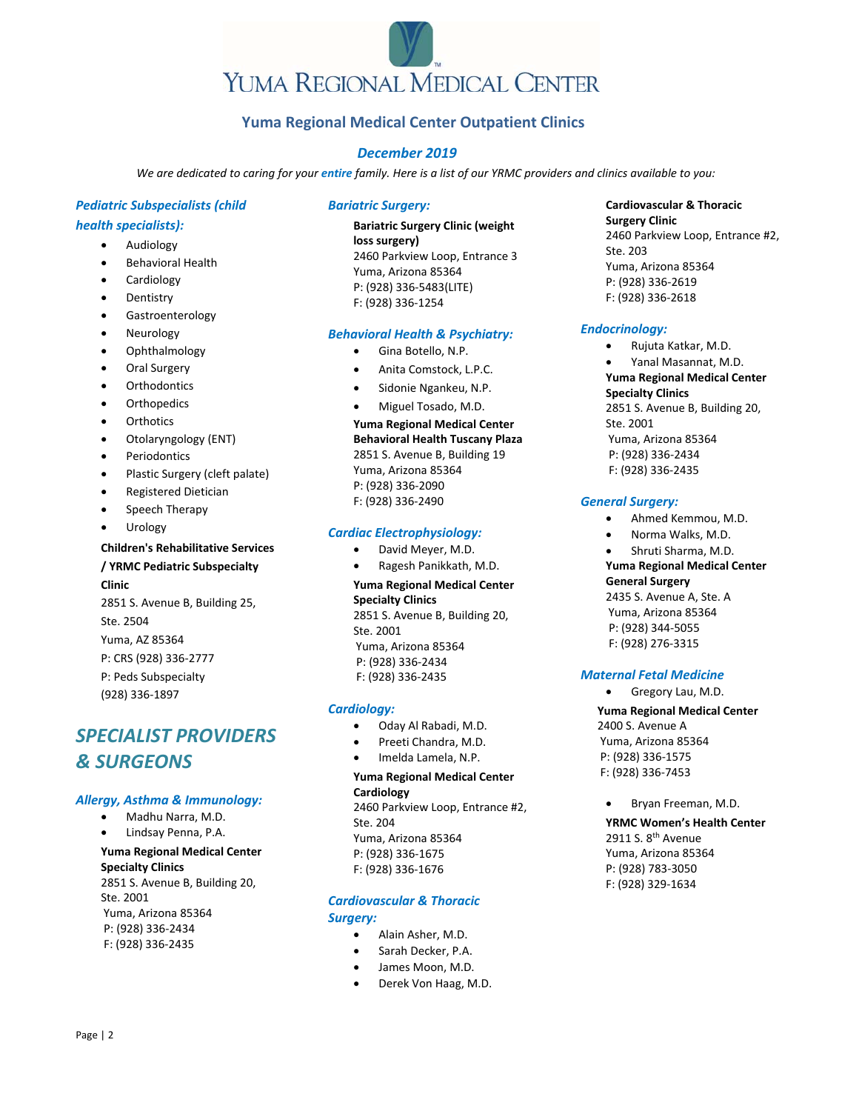# **Yuma Regional Medical Center Outpatient Clinics**

# *December 2019*

We are dedicated to caring for your entire family. Here is a list of our YRMC providers and clinics available to you:

# *Pediatric Subspecialists (child*

# *health specialists):*

- Audiology
- Behavioral Health
- Cardiology
- Dentistry
- Gastroenterology
- Neurology
- Ophthalmology
- Oral Surgery
- **Orthodontics**
- **Orthopedics**
- **Orthotics**
- Otolaryngology (ENT)
- Periodontics
- Plastic Surgery (cleft palate)
- Registered Dietician
- Speech Therapy
- Urology

# **Children's Rehabilitative Services**

# **/ YRMC Pediatric Subspecialty**

**Clinic**

2851 S. Avenue B, Building 25, Ste. 2504 Yuma, AZ 85364 P: CRS (928) 336‐2777 P: Peds Subspecialty (928) 336‐1897

# *SPECIALIST PROVIDERS & SURGEONS*

# *Allergy, Asthma & Immunology:*

- Madhu Narra, M.D.
- Lindsay Penna, P.A.

# **Yuma Regional Medical Center Specialty Clinics**

2851 S. Avenue B, Building 20, Ste. 2001 Yuma, Arizona 85364 P: (928) 336‐2434 F: (928) 336‐2435

# *Bariatric Surgery:*

# **Bariatric Surgery Clinic (weight loss surgery)** 2460 Parkview Loop, Entrance 3 Yuma, Arizona 85364 P: (928) 336‐5483(LITE) F: (928) 336‐1254

# *Behavioral Health & Psychiatry:*

- Gina Botello, N.P.
- Anita Comstock, L.P.C.
- Sidonie Ngankeu, N.P.
- Miguel Tosado, M.D.

**Yuma Regional Medical Center Behavioral Health Tuscany Plaza**  2851 S. Avenue B, Building 19 Yuma, Arizona 85364 P: (928) 336‐2090 F: (928) 336‐2490

# *Cardiac Electrophysiology:*

 David Meyer, M.D. Ragesh Panikkath, M.D.

**Yuma Regional Medical Center Specialty Clinics**  2851 S. Avenue B, Building 20, Ste. 2001 Yuma, Arizona 85364 P: (928) 336‐2434 F: (928) 336‐2435

# *Cardiology:*

- Oday Al Rabadi, M.D.
- Preeti Chandra, M.D.
- Imelda Lamela, N.P.

# **Yuma Regional Medical Center Cardiology**

2460 Parkview Loop, Entrance #2, Ste. 204 Yuma, Arizona 85364 P: (928) 336‐1675 F: (928) 336‐1676

# *Cardiovascular & Thoracic Surgery:*

- Alain Asher, M.D.
- Sarah Decker, P.A.
- James Moon, M.D.
- Derek Von Haag, M.D.

# **Cardiovascular & Thoracic Surgery Clinic**

2460 Parkview Loop, Entrance #2, Ste. 203 Yuma, Arizona 85364 P: (928) 336‐2619 F: (928) 336‐2618

# *Endocrinology:*

- Rujuta Katkar, M.D.
- Yanal Masannat, M.D. **Yuma Regional Medical Center Specialty Clinics**  2851 S. Avenue B, Building 20, Ste. 2001 Yuma, Arizona 85364 P: (928) 336‐2434 F: (928) 336‐2435

# *General Surgery:*

- Ahmed Kemmou, M.D.
- Norma Walks, M.D.
- Shruti Sharma, M.D.

# **Yuma Regional Medical Center**

### **General Surgery**

2435 S. Avenue A, Ste. A Yuma, Arizona 85364 P: (928) 344‐5055 F: (928) 276‐3315

# *Maternal Fetal Medicine*

• Gregory Lau, M.D.

**Yuma Regional Medical Center**  2400 S. Avenue A Yuma, Arizona 85364 P: (928) 336‐1575 F: (928) 336‐7453

Bryan Freeman, M.D.

**YRMC Women's Health Center** 2911 S. 8<sup>th</sup> Avenue Yuma, Arizona 85364 P: (928) 783‐3050 F: (928) 329‐1634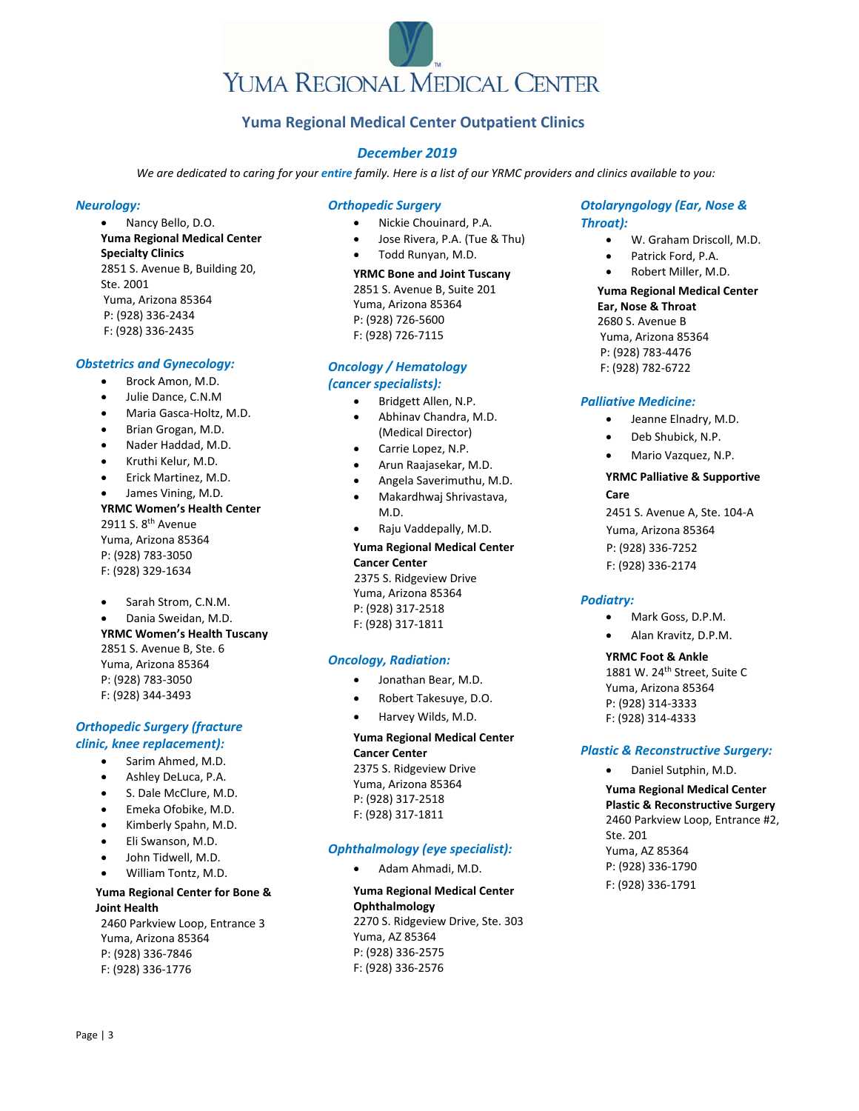# **Yuma Regional Medical Center Outpatient Clinics**

# *December 2019*

We are dedicated to caring for your entire family. Here is a list of our YRMC providers and clinics available to you:

# *Neurology:*

 Nancy Bello, D.O. **Yuma Regional Medical Center Specialty Clinics**  2851 S. Avenue B, Building 20, Ste. 2001 Yuma, Arizona 85364 P: (928) 336‐2434 F: (928) 336‐2435

# *Obstetrics and Gynecology:*

- Brock Amon, M.D.
- Julie Dance, C.N.M
- Maria Gasca‐Holtz, M.D.
- Brian Grogan, M.D.
- Nader Haddad, M.D.
- Kruthi Kelur, M.D.
- Erick Martinez, M.D.
- James Vining, M.D.

### **YRMC Women's Health Center** 2911 S. 8th Avenue

Yuma, Arizona 85364 P: (928) 783‐3050 F: (928) 329‐1634

- Sarah Strom, C.N.M.
- Dania Sweidan, M.D. **YRMC Women's Health Tuscany** 2851 S. Avenue B, Ste. 6 Yuma, Arizona 85364 P: (928) 783‐3050 F: (928) 344‐3493

# *Orthopedic Surgery (fracture clinic, knee replacement):*

- Sarim Ahmed, M.D.
- Ashley DeLuca, P.A.
- S. Dale McClure, M.D.
- 
- Emeka Ofobike, M.D.
- Kimberly Spahn, M.D.
- Eli Swanson, M.D.
- John Tidwell, M.D.
- William Tontz, M.D.

# **Yuma Regional Center for Bone & Joint Health**

2460 Parkview Loop, Entrance 3 Yuma, Arizona 85364 P: (928) 336‐7846 F: (928) 336‐1776

# *Orthopedic Surgery*

- Nickie Chouinard, P.A.
- Jose Rivera, P.A. (Tue & Thu)
- Todd Runyan, M.D.

**YRMC Bone and Joint Tuscany**  2851 S. Avenue B, Suite 201 Yuma, Arizona 85364 P: (928) 726‐5600 F: (928) 726‐7115

# *Oncology / Hematology*

# *(cancer specialists):*

- Bridgett Allen, N.P.
- Abhinav Chandra, M.D. (Medical Director)
- Carrie Lopez, N.P.
- Arun Raajasekar, M.D.
- Angela Saverimuthu, M.D.
- Makardhwaj Shrivastava, M.D.
- Raju Vaddepally, M.D.

# **Yuma Regional Medical Center Cancer Center**  2375 S. Ridgeview Drive

Yuma, Arizona 85364 P: (928) 317‐2518 F: (928) 317‐1811

# *Oncology, Radiation:*

- Jonathan Bear, M.D.
- Robert Takesuye, D.O.
- Harvey Wilds, M.D.

# **Yuma Regional Medical Center Cancer Center**  2375 S. Ridgeview Drive Yuma, Arizona 85364

P: (928) 317‐2518 F: (928) 317‐1811

# *Ophthalmology (eye specialist):*

Adam Ahmadi, M.D.

**Yuma Regional Medical Center Ophthalmology** 2270 S. Ridgeview Drive, Ste. 303 Yuma, AZ 85364 P: (928) 336‐2575 F: (928) 336‐2576

# *Otolaryngology (Ear, Nose & Throat):*

- W. Graham Driscoll, M.D.
- Patrick Ford, P.A.
- Robert Miller, M.D.

# **Yuma Regional Medical Center**

**Ear, Nose & Throat**  2680 S. Avenue B Yuma, Arizona 85364 P: (928) 783‐4476 F: (928) 782‐6722

# *Palliative Medicine:*

- Jeanne Elnadry, M.D.
- Deb Shubick, N.P.
- Mario Vazquez, N.P.

# **YRMC Palliative & Supportive Care**

2451 S. Avenue A, Ste. 104‐A Yuma, Arizona 85364 P: (928) 336‐7252 F: (928) 336‐2174

# *Podiatry:*

- Mark Goss, D.P.M.
- Alan Kravitz, D.P.M.

# **YRMC Foot & Ankle**

1881 W. 24<sup>th</sup> Street, Suite C Yuma, Arizona 85364 P: (928) 314‐3333 F: (928) 314‐4333

# *Plastic & Reconstructive Surgery:*

Daniel Sutphin, M.D.

**Yuma Regional Medical Center Plastic & Reconstructive Surgery** 2460 Parkview Loop, Entrance #2, Ste. 201 Yuma, AZ 85364 P: (928) 336‐1790 F: (928) 336‐1791